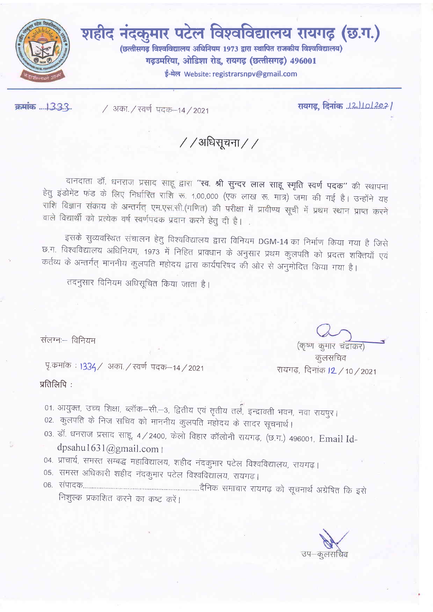

शहीद नंदकुमार पटेल विश्वविद्यालय रायगढ़ (छ.ग.) (छत्तीसगढ़ विश्वविद्यालय अधिनियम 1973 द्वारा स्थापित राजकीय विश्वविद्यालय) गढ़उमरिया, ओडिशा रोड, रायगढ़ (छत्तीसगढ़) 496001 ई-मेल Website: registrarsnpv@gmail.com

क्रमांक ..........3.3.3..

/ अका. / स्वर्ण पदक-14 / 2021

/ / अधिसूचना / /

दानदाता डॉ. धनराज प्रसाद साहू द्वारा "स्व. श्री सुन्दर लाल साहू स्मृति स्वर्ण पदक" की स्थापना हेतु इंडोमेंट फंड के लिए निर्धारित राशि रू. 1,00,000 (एक लाख रू. मात्र) जमा की गई है। उन्होंने यह राशि विज्ञान संकाय के अन्तर्गत् एम.एस.सी.(गणित) की परीक्षा में प्रावीण्य सूची में प्रथम स्थान प्राप्त करने वाले विद्यार्थी को प्रत्येक वर्ष स्वर्णपदक प्रदान करने हेतु दी है।

इसके सुव्यवरिथत संचालन हेतु विश्वविद्यालय द्वारा विनियम DGM-14 का निर्माण किया गया है जिसे छ.ग. विश्वविद्यालय अधिनियम, 1973 में निहित प्रावधान के अनुसार प्रथम कुलपति को प्रदत्त शक्तियाँ एवं कर्तव्य के अन्तर्गत् माननीय कुलपति महोदय द्वारा कार्यपरिषद की ओर से अनुमोदित किया गया है।

तदनुसार विनियम अधिसूचित किया जाता है।

संलग्नः- विनियम

पृ.कर्माक : 1334/ अका./ स्वर्ण पदक-14/2021

प्रतिलिपि:

(कृष्ण कुमार चंद्राकर)

कूलसचिव रायगढ़, दिनांक J2 / 10 / 2021

01. आयुक्त, उच्च शिक्षा, ब्लॉक-सी.-3, द्वितीय एवं तृतीय तर्ल, इन्द्रावती भवन, नवा रायपुर। 02. कुलपति के निज सचिव को माननीय कुलपति महोदय के सादर सूचनार्थ।

03. डॉ. धनराज प्रसाद साहू, 4 / 2400, केलो विहार कॉलोनी रायगढ़, (छ.ग.) 496001, Email Iddpsahu1631@gmail.com |

04. प्राचार्य, समस्त सम्बद्ध महाविद्यालय, शहीद नंदकुमार पटेल विश्वविद्यालय, रायगढ़।

05. समस्त अधिकारी शहीद नंदकुमार पटेल विश्वविद्यालय, रायगढ़।

निशुल्क प्रकाशित करने का कष्ट करें।

उप–कलसचिव